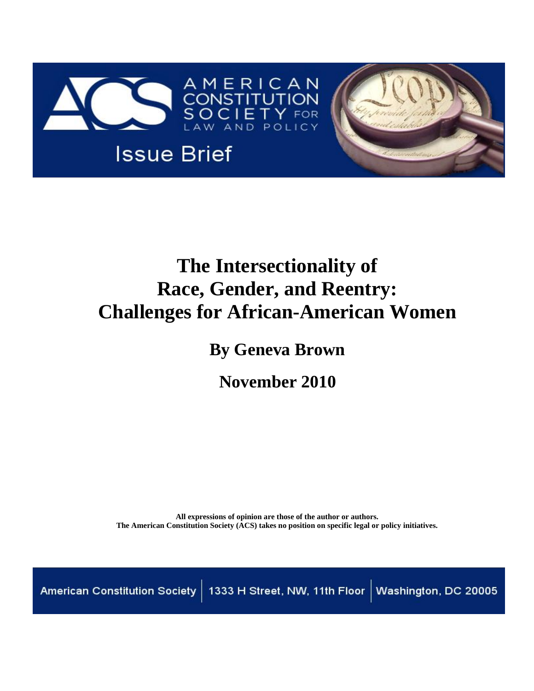

# **The Intersectionality of Race, Gender, and Reentry: Challenges for African-American Women**

**By Geneva Brown**

**November 2010**

**All expressions of opinion are those of the author or authors. The American Constitution Society (ACS) takes no position on specific legal or policy initiatives.**

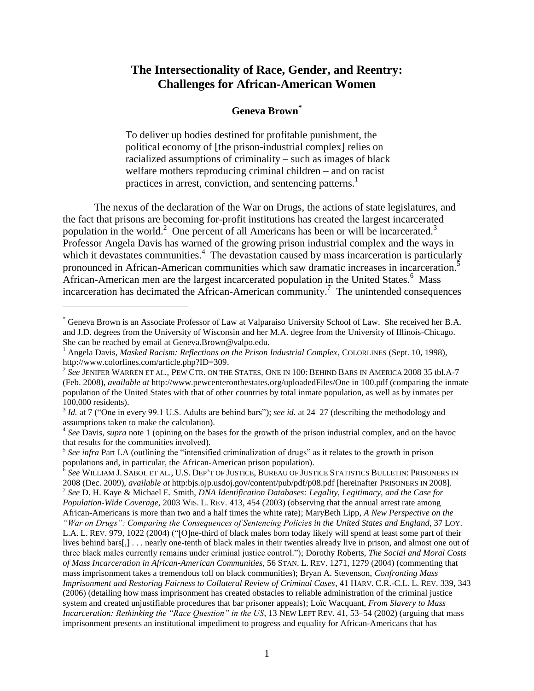## **The Intersectionality of Race, Gender, and Reentry: Challenges for African-American Women**

#### <span id="page-1-2"></span><span id="page-1-1"></span><span id="page-1-0"></span>**Geneva Brown\***

To deliver up bodies destined for profitable punishment, the political economy of [the prison-industrial complex] relies on racialized assumptions of criminality – such as images of black welfare mothers reproducing criminal children – and on racist practices in arrest, conviction, and sentencing patterns.<sup>1</sup>

The nexus of the declaration of the War on Drugs, the actions of state legislatures, and the fact that prisons are becoming for-profit institutions has created the largest incarcerated population in the world.<sup>2</sup> One percent of all Americans has been or will be incarcerated.<sup>3</sup> Professor Angela Davis has warned of the growing prison industrial complex and the ways in which it devastates communities.<sup>4</sup> The devastation caused by mass incarceration is particularly pronounced in African-American communities which saw dramatic increases in incarceration.<sup>5</sup> African-American men are the largest incarcerated population in the United States.<sup>6</sup> Mass incarceration has decimated the African-American community.<sup>7</sup> The unintended consequences

<sup>\*</sup> Geneva Brown is an Associate Professor of Law at Valparaiso University School of Law. She received her B.A. and J.D. degrees from the University of Wisconsin and her M.A. degree from the University of Illinois-Chicago. She can be reached by email at Geneva.Brown@valpo.edu.

<sup>&</sup>lt;sup>1</sup> Angela Davis, *Masked Racism: Reflections on the Prison Industrial Complex*, COLORLINES (Sept. 10, 1998), http://www.colorlines.com/article.php?ID=309.

<sup>2</sup> *See* JENIFER WARREN ET AL., PEW CTR. ON THE STATES, ONE IN 100: BEHIND BARS IN AMERICA 2008 35 tbl.A-7 (Feb. 2008), *available at* http://www.pewcenteronthestates.org/uploadedFiles/One in 100.pdf (comparing the inmate population of the United States with that of other countries by total inmate population, as well as by inmates per 100,000 residents).

<sup>&</sup>lt;sup>3</sup> *Id.* at 7 ("One in every 99.1 U.S. Adults are behind bars"); *see id.* at 24–27 (describing the methodology and assumptions taken to make the calculation).

<sup>&</sup>lt;sup>4</sup> See Davis, *supra* note [1](#page-1-0) (opining on the bases for the growth of the prison industrial complex, and on the havoc that results for the communities involved).

<sup>&</sup>lt;sup>5</sup> See infra Part I.A (outlining the "intensified criminalization of drugs" as it relates to the growth in prison populations and, in particular, the African-American prison population).

 $^{\hat{6}}$  *See* William J. Sabol et al., U.S. Dep't of Justice, Bureau of Justice Statistics Bulletin: Prisoners in 2008 (Dec. 2009), *available at* http:bjs.ojp.usdoj.gov/content/pub/pdf/p08.pdf [hereinafter PRISONERS IN 2008].<br><sup>7</sup> See D. H. Kaye & Michael E. Smith, *DNA Identification Databases: Legality, Legitimacy, and the Case for Population-Wide Coverage*, 2003 WIS. L. REV. 413, 454 (2003) (observing that the annual arrest rate among

African-Americans is more than two and a half times the white rate); MaryBeth Lipp, *A New Perspective on the "War on Drugs": Comparing the Consequences of Sentencing Policies in the United States and England*, 37 LOY. L.A. L. REV. 979, 1022 (2004) ("[O]ne-third of black males born today likely will spend at least some part of their lives behind bars[,] . . . nearly one-tenth of black males in their twenties already live in prison, and almost one out of three black males currently remains under criminal justice control."); Dorothy Roberts, *The Social and Moral Costs of Mass Incarceration in African-American Communities*, 56 STAN. L. REV. 1271, 1279 (2004) (commenting that mass imprisonment takes a tremendous toll on black communities); Bryan A. Stevenson, *Confronting Mass Imprisonment and Restoring Fairness to Collateral Review of Criminal Cases*, 41 HARV. C.R.-C.L. L. REV. 339, 343 (2006) (detailing how mass imprisonment has created obstacles to reliable administration of the criminal justice system and created unjustifiable procedures that bar prisoner appeals); Loïc Wacquant, *From Slavery to Mass Incarceration: Rethinking the "Race Question" in the US*, 13 NEW LEFT REV. 41, 53–54 (2002) (arguing that mass imprisonment presents an institutional impediment to progress and equality for African-Americans that has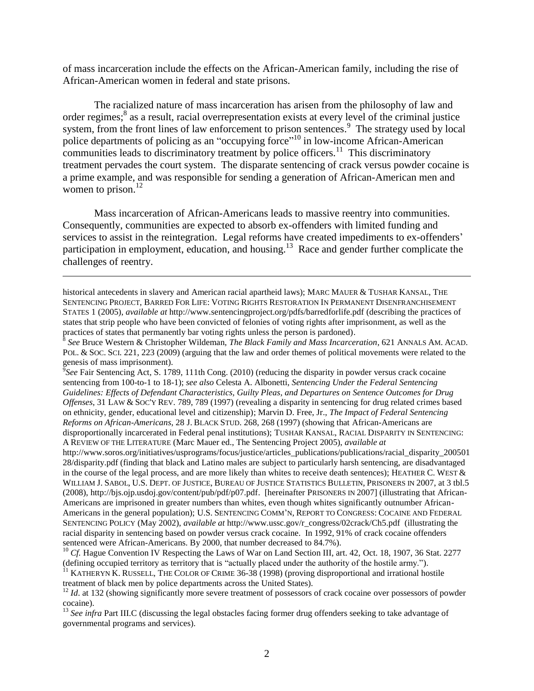of mass incarceration include the effects on the African-American family, including the rise of African-American women in federal and state prisons.

<span id="page-2-1"></span><span id="page-2-0"></span>The racialized nature of mass incarceration has arisen from the philosophy of law and order regimes;<sup>8</sup> as a result, racial overrepresentation exists at every level of the criminal justice system, from the front lines of law enforcement to prison sentences.<sup>9</sup> The strategy used by local police departments of policing as an "occupying force"<sup>10</sup> in low-income African-American communities leads to discriminatory treatment by police officers.<sup>11</sup> This discriminatory treatment pervades the court system. The disparate sentencing of crack versus powder cocaine is a prime example, and was responsible for sending a generation of African-American men and women to prison. $^{12}$ 

Mass incarceration of African-Americans leads to massive reentry into communities. Consequently, communities are expected to absorb ex-offenders with limited funding and services to assist in the reintegration. Legal reforms have created impediments to ex-offenders' participation in employment, education, and housing.<sup>13</sup> Race and gender further complicate the challenges of reentry.

historical antecedents in slavery and American racial apartheid laws); MARC MAUER & TUSHAR KANSAL, THE SENTENCING PROJECT, BARRED FOR LIFE: VOTING RIGHTS RESTORATION IN PERMANENT DISENFRANCHISEMENT STATES 1 (2005), *available at* http://www.sentencingproject.org/pdfs/barredforlife.pdf (describing the practices of states that strip people who have been convicted of felonies of voting rights after imprisonment, as well as the practices of states that permanently bar voting rights unless the person is pardoned).<br><sup>8</sup> See Bruce Western & Christopher Wildeman, The Black Equity and Mass Incana

*See* Bruce Western & Christopher Wildeman, *The Black Family and Mass Incarceration*, 621 ANNALS AM. ACAD. POL. & SOC. SCI. 221, 223 (2009) (arguing that the law and order themes of political movements were related to the

genesis of mass imprisonment). 9 *See* Fair Sentencing Act*,* S. 1789, 111th Cong. (2010) (reducing the disparity in powder versus crack cocaine sentencing from 100-to-1 to 18-1); *see also* Celesta A. Albonetti, *Sentencing Under the Federal Sentencing Guidelines: Effects of Defendant Characteristics, Guilty Pleas, and Departures on Sentence Outcomes for Drug Offenses*, 31 LAW & SOC'Y REV. 789, 789 (1997) (revealing a disparity in sentencing for drug related crimes based on ethnicity, gender, educational level and citizenship); Marvin D. Free, Jr., *The Impact of Federal Sentencing Reforms on African-Americans*, 28 J. BLACK STUD. 268, 268 (1997) (showing that African-Americans are disproportionally incarcerated in Federal penal institutions); TUSHAR KANSAL, RACIAL DISPARITY IN SENTENCING: A REVIEW OF THE LITERATURE (Marc Mauer ed., The Sentencing Project 2005), *available at* 

http://www.soros.org/initiatives/usprograms/focus/justice/articles\_publications/publications/racial\_disparity\_200501 28/disparity.pdf (finding that black and Latino males are subject to particularly harsh sentencing, are disadvantaged in the course of the legal process, and are more likely than whites to receive death sentences); HEATHER C. WEST & WILLIAM J. SABOL, U.S. DEPT. OF JUSTICE, BUREAU OF JUSTICE STATISTICS BULLETIN, PRISONERS IN 2007, at 3 tbl.5 (2008), http://bjs.ojp.usdoj.gov/content/pub/pdf/p07.pdf. [hereinafter PRISONERS IN 2007] (illustrating that African-Americans are imprisoned in greater numbers than whites, even though whites significantly outnumber African-Americans in the general population); U.S. SENTENCING COMM'N, REPORT TO CONGRESS: COCAINE AND FEDERAL SENTENCING POLICY (May 2002), *available at* http://www.ussc.gov/r\_congress/02crack/Ch5.pdf (illustrating the racial disparity in sentencing based on powder versus crack cocaine. In 1992, 91% of crack cocaine offenders sentenced were African-Americans. By 2000, that number decreased to 84.7%).

<sup>&</sup>lt;sup>10</sup> *Cf.* Hague Convention IV Respecting the Laws of War on Land Section III, art. 42, Oct. 18, 1907, 36 Stat. 2277 (defining occupied territory as territory that is "actually placed under the authority of the hostile army.").

 $11$  KATHERYN K. RUSSELL, THE COLOR OF CRIME 36-38 (1998) (proving disproportional and irrational hostile treatment of black men by police departments across the United States).

<sup>&</sup>lt;sup>12</sup> *Id.* at 132 (showing significantly more severe treatment of possessors of crack cocaine over possessors of powder cocaine).

<sup>13</sup> *See infra* Part III.C (discussing the legal obstacles facing former drug offenders seeking to take advantage of governmental programs and services).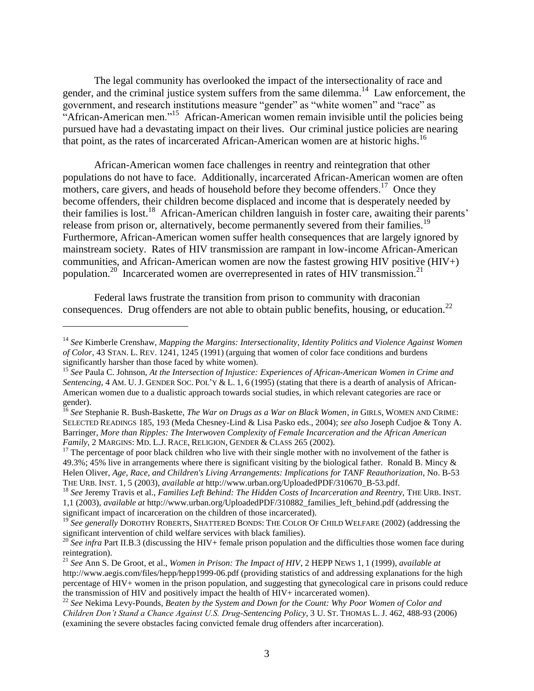<span id="page-3-0"></span>The legal community has overlooked the impact of the intersectionality of race and gender, and the criminal justice system suffers from the same dilemma.<sup>14</sup> Law enforcement, the government, and research institutions measure "gender" as "white women" and "race" as "African-American men."<sup>15</sup> African-American women remain invisible until the policies being pursued have had a devastating impact on their lives. Our criminal justice policies are nearing that point, as the rates of incarcerated African-American women are at historic highs.<sup>16</sup>

African-American women face challenges in reentry and reintegration that other populations do not have to face. Additionally, incarcerated African-American women are often mothers, care givers, and heads of household before they become offenders.<sup>17</sup> Once they become offenders, their children become displaced and income that is desperately needed by their families is lost.<sup>18</sup> African-American children languish in foster care, awaiting their parents' release from prison or, alternatively, become permanently severed from their families.<sup>19</sup> Furthermore, African-American women suffer health consequences that are largely ignored by mainstream society. Rates of HIV transmission are rampant in low-income African-American communities, and African-American women are now the fastest growing HIV positive (HIV+) population.<sup>20</sup> Incarcerated women are overrepresented in rates of HIV transmission.<sup>21</sup>

Federal laws frustrate the transition from prison to community with draconian consequences. Drug offenders are not able to obtain public benefits, housing, or education.<sup>22</sup>

<sup>14</sup> *See* Kimberle Crenshaw, *Mapping the Margins: Intersectionality, Identity Politics and Violence Against Women of Color*, 43 STAN. L. REV. 1241, 1245 (1991) (arguing that women of color face conditions and burdens significantly harsher than those faced by white women).

<sup>15</sup> *See* Paula C. Johnson, *At the Intersection of Injustice: Experiences of African-American Women in Crime and Sentencing*, 4 AM. U. J. GENDER SOC. POL'Y & L. 1, 6 (1995) (stating that there is a dearth of analysis of African-American women due to a dualistic approach towards social studies, in which relevant categories are race or gender).

<sup>16</sup> *See* Stephanie R. Bush-Baskette, *The War on Drugs as a War on Black Women*, *in* GIRLS, WOMEN AND CRIME: SELECTED READINGS 185, 193 (Meda Chesney-Lind & Lisa Pasko eds., 2004); *see also* Joseph Cudjoe & Tony A. Barringer, *More than Ripples: The Interwoven Complexity of Female Incarceration and the African American Family*, 2 MARGINS: MD. L.J. RACE, RELIGION, GENDER & CLASS 265 (2002).

<sup>&</sup>lt;sup>17</sup> The percentage of poor black children who live with their single mother with no involvement of the father is 49.3%; 45% live in arrangements where there is significant visiting by the biological father. Ronald B. Mincy & Helen Oliver, *Age, Race, and Children's Living Arrangements: Implications for TANF Reauthorization*, No. B-53 THE URB. INST. 1, 5 (2003), *available at* http://www.urban.org/UploadedPDF/310670\_B-53.pdf.

<sup>18</sup> *See* Jeremy Travis et al., *Families Left Behind: The Hidden Costs of Incarceration and Reentry,* THE URB. INST. 1,1 (2003), *available at* http://www.urban.org/UploadedPDF/310882\_families\_left\_behind.pdf (addressing the significant impact of incarceration on the children of those incarcerated).

<sup>&</sup>lt;sup>19</sup> See generally DOROTHY ROBERTS, SHATTERED BONDS: THE COLOR OF CHILD WELFARE (2002) (addressing the significant intervention of child welfare services with black families).

<sup>&</sup>lt;sup>20</sup> See infra Part II.B.3 (discussing the HIV+ female prison population and the difficulties those women face during reintegration).

<sup>21</sup> *See* Ann S. De Groot, et al., *Women in Prison: The Impact of HIV*, 2 HEPP NEWS 1, 1 (1999), *available at*  http://www.aegis.com/files/hepp/hepp1999-06.pdf (providing statistics of and addressing explanations for the high percentage of HIV+ women in the prison population, and suggesting that gynecological care in prisons could reduce the transmission of HIV and positively impact the health of HIV+ incarcerated women).

<sup>22</sup> *See* Nekima Levy-Pounds, *Beaten by the System and Down for the Count: Why Poor Women of Color and Children Don"t Stand a Chance Against U.S. Drug-Sentencing Policy*, 3 U. ST. THOMAS L. J. 462, 488-93 (2006) (examining the severe obstacles facing convicted female drug offenders after incarceration).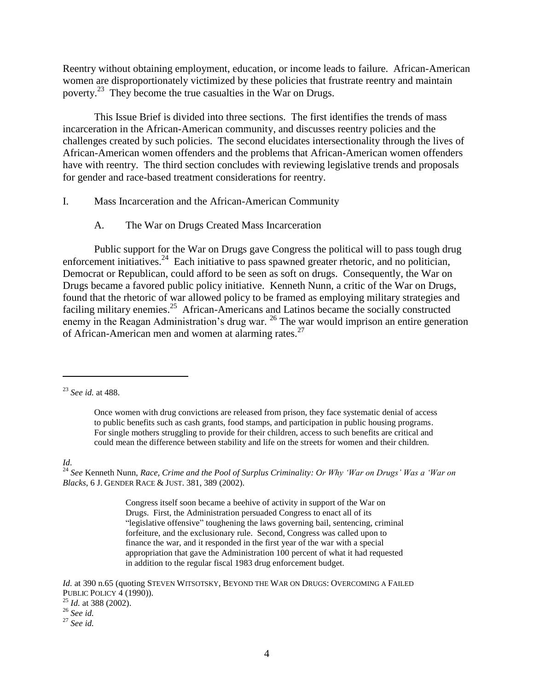Reentry without obtaining employment, education, or income leads to failure. African-American women are disproportionately victimized by these policies that frustrate reentry and maintain poverty.<sup>23</sup> They become the true casualties in the War on Drugs.

This Issue Brief is divided into three sections. The first identifies the trends of mass incarceration in the African-American community, and discusses reentry policies and the challenges created by such policies. The second elucidates intersectionality through the lives of African-American women offenders and the problems that African-American women offenders have with reentry. The third section concludes with reviewing legislative trends and proposals for gender and race-based treatment considerations for reentry.

#### I. Mass Incarceration and the African-American Community

<span id="page-4-0"></span>A. The War on Drugs Created Mass Incarceration

Public support for the War on Drugs gave Congress the political will to pass tough drug enforcement initiatives.<sup>24</sup> Each initiative to pass spawned greater rhetoric, and no politician, Democrat or Republican, could afford to be seen as soft on drugs. Consequently, the War on Drugs became a favored public policy initiative. Kenneth Nunn, a critic of the War on Drugs, found that the rhetoric of war allowed policy to be framed as employing military strategies and faciling military enemies.<sup>25</sup> African-Americans and Latinos became the socially constructed enemy in the Reagan Administration's drug war. <sup>26</sup> The war would imprison an entire generation of African-American men and women at alarming rates.<sup>27</sup>

*Id.*

 $\overline{a}$ 

<sup>24</sup> See Kenneth Nunn, *Race, Crime and the Pool of Surplus Criminality: Or Why 'War on Drugs' Was a 'War on Blacks*, 6 J. GENDER RACE & JUST. 381, 389 (2002).

> Congress itself soon became a beehive of activity in support of the War on Drugs. First, the Administration persuaded Congress to enact all of its "legislative offensive" toughening the laws governing bail, sentencing, criminal forfeiture, and the exclusionary rule. Second, Congress was called upon to finance the war, and it responded in the first year of the war with a special appropriation that gave the Administration 100 percent of what it had requested in addition to the regular fiscal 1983 drug enforcement budget.

*Id.* at 390 n.65 (quoting STEVEN WITSOTSKY, BEYOND THE WAR ON DRUGS: OVERCOMING A FAILED PUBLIC POLICY 4 (1990)).

<sup>23</sup> *See id.* at 488.

Once women with drug convictions are released from prison, they face systematic denial of access to public benefits such as cash grants, food stamps, and participation in public housing programs. For single mothers struggling to provide for their children, access to such benefits are critical and could mean the difference between stability and life on the streets for women and their children.

<sup>25</sup> *Id.* at 388 (2002).

<sup>26</sup> *See id.* <sup>27</sup> *See id.*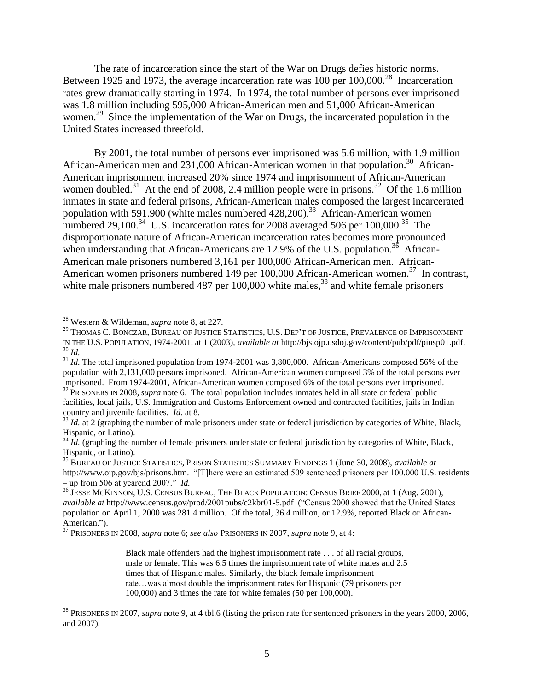The rate of incarceration since the start of the War on Drugs defies historic norms. Between 1925 and 1973, the average incarceration rate was 100 per  $100,000$ <sup>28</sup> Incarceration rates grew dramatically starting in 1974. In 1974, the total number of persons ever imprisoned was 1.8 million including 595,000 African-American men and 51,000 African-American women.<sup>29</sup> Since the implementation of the War on Drugs, the incarcerated population in the United States increased threefold.

By 2001, the total number of persons ever imprisoned was 5.6 million, with 1.9 million African-American men and 231,000 African-American women in that population.<sup>30</sup> African-American imprisonment increased 20% since 1974 and imprisonment of African-American women doubled.<sup>31</sup> At the end of 2008, 2.4 million people were in prisons.<sup>32</sup> Of the 1.6 million inmates in state and federal prisons, African-American males composed the largest incarcerated population with 591.900 (white males numbered 428,200).<sup>33</sup> African-American women numbered 29,100.<sup>34</sup> U.S. incarceration rates for 2008 averaged 506 per 100,000.<sup>35</sup> The disproportionate nature of African-American incarceration rates becomes more pronounced when understanding that African-Americans are 12.9% of the U.S. population.<sup>36</sup> African-American male prisoners numbered 3,161 per 100,000 African-American men. African-American women prisoners numbered 149 per 100,000 African-American women.<sup>37</sup> In contrast, white male prisoners numbered 487 per  $100,000$  white males,<sup>38</sup> and white female prisoners

<sup>28</sup> Western & Wildeman, *supra* not[e 8,](#page-2-0) at 227.

<sup>29</sup> THOMAS C. BONCZAR, BUREAU OF JUSTICE STATISTICS, U.S. DEP'T OF JUSTICE, PREVALENCE OF IMPRISONMENT IN THE U.S. POPULATION, 1974-2001, at 1 (2003), *available at* http://bjs.ojp.usdoj.gov/content/pub/pdf/piusp01.pdf. <sup>30</sup> *Id.*

<sup>&</sup>lt;sup>31</sup> *Id.* The total imprisoned population from 1974-2001 was 3,800,000. African-Americans composed 56% of the population with 2,131,000 persons imprisoned. African-American women composed 3% of the total persons ever imprisoned. From 1974-2001, African-American women composed 6% of the total persons ever imprisoned.

<sup>&</sup>lt;sup>32</sup> PRISONERS IN 2008, *supra* not[e 6.](#page-1-1) The total population includes inmates held in all state or federal public facilities, local jails, U.S. Immigration and Customs Enforcement owned and contracted facilities, jails in Indian country and juvenile facilities. *Id.* at 8.

<sup>&</sup>lt;sup>33</sup> *Id.* at 2 (graphing the number of male prisoners under state or federal jurisdiction by categories of White, Black, Hispanic, or Latino).

<sup>&</sup>lt;sup>34</sup> *Id.* (graphing the number of female prisoners under state or federal jurisdiction by categories of White, Black, Hispanic, or Latino).

<sup>35</sup> BUREAU OF JUSTICE STATISTICS, PRISON STATISTICS SUMMARY FINDINGS 1 (June 30, 2008), *available at* http://www.ojp.gov/bjs/prisons.htm. "[T]here were an estimated 509 sentenced prisoners per 100.000 U.S. residents – up from 506 at yearend 2007." *Id.*

<sup>&</sup>lt;sup>36</sup> JESSE MCKINNON, U.S. CENSUS BUREAU, THE BLACK POPULATION: CENSUS BRIEF 2000, at 1 (Aug. 2001), *available at* http://www.census.gov/prod/2001pubs/c2kbr01-5.pdf ("Census 2000 showed that the United States population on April 1, 2000 was 281.4 million. Of the total, 36.4 million, or 12.9%, reported Black or African-American.").

<sup>37</sup> PRISONERS IN 2008, *supra* not[e 6;](#page-1-1) *see also* PRISONERS IN 2007, *supra* note [9,](#page-2-1) at 4:

Black male offenders had the highest imprisonment rate . . . of all racial groups, male or female. This was 6.5 times the imprisonment rate of white males and 2.5 times that of Hispanic males. Similarly, the black female imprisonment rate…was almost double the imprisonment rates for Hispanic (79 prisoners per 100,000) and 3 times the rate for white females (50 per 100,000).

<sup>38</sup> PRISONERS IN 2007, *supra* not[e 9,](#page-2-1) at 4 tbl.6 (listing the prison rate for sentenced prisoners in the years 2000, 2006, and 2007).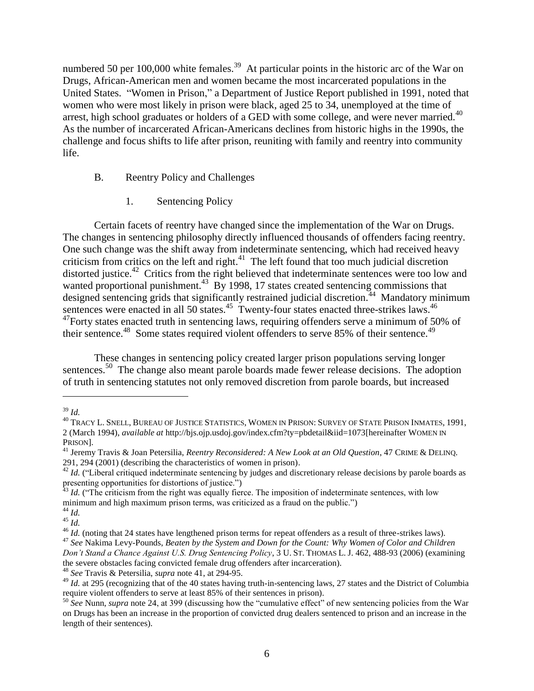numbered 50 per 100,000 white females.<sup>39</sup> At particular points in the historic arc of the War on Drugs, African-American men and women became the most incarcerated populations in the United States. "Women in Prison," a Department of Justice Report published in 1991, noted that women who were most likely in prison were black, aged 25 to 34, unemployed at the time of arrest, high school graduates or holders of a GED with some college, and were never married.<sup>40</sup> As the number of incarcerated African-Americans declines from historic highs in the 1990s, the challenge and focus shifts to life after prison, reuniting with family and reentry into community life.

#### B. Reentry Policy and Challenges

<span id="page-6-1"></span><span id="page-6-0"></span>1. Sentencing Policy

Certain facets of reentry have changed since the implementation of the War on Drugs. The changes in sentencing philosophy directly influenced thousands of offenders facing reentry. One such change was the shift away from indeterminate sentencing, which had received heavy criticism from critics on the left and right. $41$  The left found that too much judicial discretion distorted justice.<sup>42</sup> Critics from the right believed that indeterminate sentences were too low and wanted proportional punishment.<sup>43</sup> By 1998, 17 states created sentencing commissions that designed sentencing grids that significantly restrained judicial discretion.<sup>44</sup> Mandatory minimum sentences were enacted in all 50 states.<sup>45</sup> Twenty-four states enacted three-strikes laws.<sup>46</sup>  $^{47}$ Forty states enacted truth in sentencing laws, requiring offenders serve a minimum of 50% of their sentence.<sup>48</sup> Some states required violent offenders to serve 85% of their sentence.<sup>49</sup>

<span id="page-6-2"></span>These changes in sentencing policy created larger prison populations serving longer sentences.<sup>50</sup> The change also meant parole boards made fewer release decisions. The adoption of truth in sentencing statutes not only removed discretion from parole boards, but increased

<sup>39</sup> *Id.*

<sup>40</sup> TRACY L. SNELL, BUREAU OF JUSTICE STATISTICS, WOMEN IN PRISON: SURVEY OF STATE PRISON INMATES, 1991, 2 (March 1994), *available at* http://bjs.ojp.usdoj.gov/index.cfm?ty=pbdetail&iid=1073[hereinafter WOMEN IN PRISON].

<sup>41</sup> Jeremy Travis & Joan Petersilia, *Reentry Reconsidered: A New Look at an Old Question*, 47 CRIME & DELINQ. 291, 294 (2001) (describing the characteristics of women in prison).

<sup>&</sup>lt;sup>42</sup> *Id.* ("Liberal critiqued indeterminate sentencing by judges and discretionary release decisions by parole boards as presenting opportunities for distortions of justice.")

 $43$  *Id.* ("The criticism from the right was equally fierce. The imposition of indeterminate sentences, with low minimum and high maximum prison terms, was criticized as a fraud on the public.") <sup>44</sup> *Id.*

<sup>45</sup> *Id.*

<sup>&</sup>lt;sup>46</sup> *Id.* (noting that 24 states have lengthened prison terms for repeat offenders as a result of three-strikes laws).

<sup>47</sup> *See* Nakima Levy-Pounds, *Beaten by the System and Down for the Count: Why Women of Color and Children Don"t Stand a Chance Against U.S. Drug Sentencing Policy*, 3 U. ST. THOMAS L. J. 462, 488-93 (2006) (examining the severe obstacles facing convicted female drug offenders after incarceration).

<sup>48</sup> *See* Travis & Petersilia, *supra* note [41,](#page-6-0) at 294-95.

<sup>&</sup>lt;sup>49</sup> *Id.* at 295 (recognizing that of the 40 states having truth-in-sentencing laws, 27 states and the District of Columbia require violent offenders to serve at least 85% of their sentences in prison).

<sup>50</sup> *See* Nunn, *supra* not[e 24,](#page-4-0) at 399 (discussing how the "cumulative effect" of new sentencing policies from the War on Drugs has been an increase in the proportion of convicted drug dealers sentenced to prison and an increase in the length of their sentences).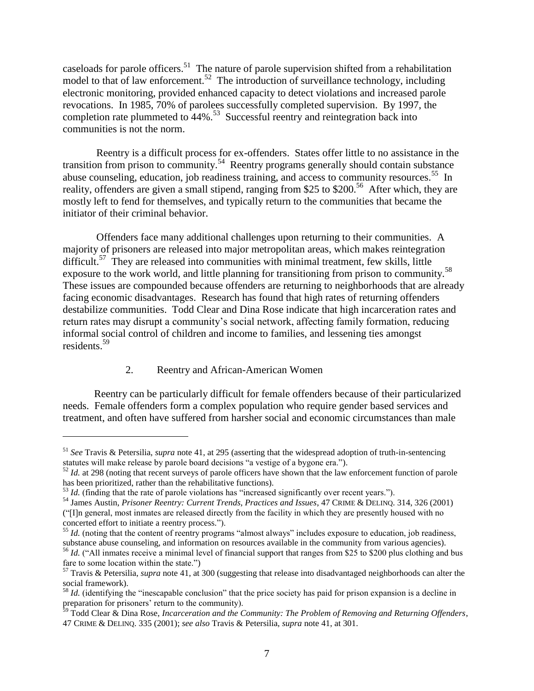caseloads for parole officers.<sup>51</sup> The nature of parole supervision shifted from a rehabilitation model to that of law enforcement.<sup>52</sup> The introduction of surveillance technology, including electronic monitoring, provided enhanced capacity to detect violations and increased parole revocations. In 1985, 70% of parolees successfully completed supervision. By 1997, the completion rate plummeted to  $44\%$ <sup>53</sup> Successful reentry and reintegration back into communities is not the norm.

Reentry is a difficult process for ex-offenders. States offer little to no assistance in the transition from prison to community.<sup>54</sup> Reentry programs generally should contain substance abuse counseling, education, job readiness training, and access to community resources.<sup>55</sup> In reality, offenders are given a small stipend, ranging from \$25 to \$200.<sup>56</sup> After which, they are mostly left to fend for themselves, and typically return to the communities that became the initiator of their criminal behavior.

Offenders face many additional challenges upon returning to their communities. A majority of prisoners are released into major metropolitan areas, which makes reintegration difficult.<sup>57</sup> They are released into communities with minimal treatment, few skills, little exposure to the work world, and little planning for transitioning from prison to community.<sup>58</sup> These issues are compounded because offenders are returning to neighborhoods that are already facing economic disadvantages. Research has found that high rates of returning offenders destabilize communities. Todd Clear and Dina Rose indicate that high incarceration rates and return rates may disrupt a community's social network, affecting family formation, reducing informal social control of children and income to families, and lessening ties amongst residents.<sup>59</sup>

#### 2. Reentry and African-American Women

 $\overline{a}$ 

Reentry can be particularly difficult for female offenders because of their particularized needs. Female offenders form a complex population who require gender based services and treatment, and often have suffered from harsher social and economic circumstances than male

<sup>51</sup> *See* Travis & Petersilia, *supra* note [41,](#page-6-0) at 295 (asserting that the widespread adoption of truth-in-sentencing statutes will make release by parole board decisions "a vestige of a bygone era.").

<sup>&</sup>lt;sup>52</sup> *Id.* at 298 (noting that recent surveys of parole officers have shown that the law enforcement function of parole has been prioritized, rather than the rehabilitative functions).

<sup>&</sup>lt;sup>53</sup> *Id.* (finding that the rate of parole violations has "increased significantly over recent years.").

<sup>54</sup> James Austin, *Prisoner Reentry: Current Trends, Practices and Issues*, 47 CRIME & DELINQ. 314, 326 (2001) ("[I]n general, most inmates are released directly from the facility in which they are presently housed with no concerted effort to initiate a reentry process.").

<sup>&</sup>lt;sup>55</sup> *Id.* (noting that the content of reentry programs "almost always" includes exposure to education, job readiness, substance abuse counseling, and information on resources available in the community from various agencies). <sup>56</sup> *Id.* ("All inmates receive a minimal level of financial support that ranges from \$25 to \$200 plus clothing and bus fare to some location within the state.")

<sup>57</sup> Travis & Petersilia, *supra* note [41,](#page-6-0) at 300 (suggesting that release into disadvantaged neighborhoods can alter the social framework).

<sup>&</sup>lt;sup>58</sup> *Id.* (identifying the "inescapable conclusion" that the price society has paid for prison expansion is a decline in preparation for prisoners' return to the community).

<sup>59</sup> Todd Clear & Dina Rose, *Incarceration and the Community: The Problem of Removing and Returning Offenders*, 47 CRIME & DELINQ. 335 (2001); *see also* Travis & Petersilia, *supra* not[e 41,](#page-6-0) at 301.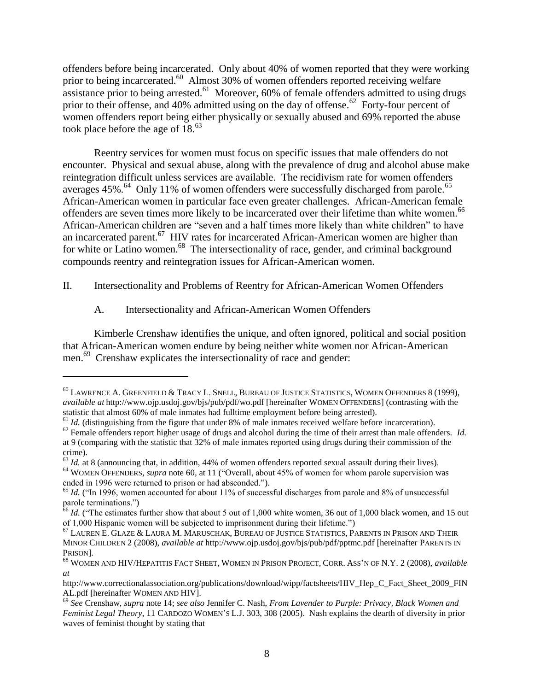<span id="page-8-0"></span>offenders before being incarcerated. Only about 40% of women reported that they were working prior to being incarcerated.<sup>60</sup> Almost 30% of women offenders reported receiving welfare assistance prior to being arrested.<sup>61</sup> Moreover, 60% of female offenders admitted to using drugs prior to their offense, and 40% admitted using on the day of offense.<sup>62</sup> Forty-four percent of women offenders report being either physically or sexually abused and 69% reported the abuse took place before the age of 18. 63

Reentry services for women must focus on specific issues that male offenders do not encounter. Physical and sexual abuse, along with the prevalence of drug and alcohol abuse make reintegration difficult unless services are available. The recidivism rate for women offenders averages 45%.<sup>64</sup> Only 11% of women offenders were successfully discharged from parole.<sup>65</sup> African-American women in particular face even greater challenges. African-American female offenders are seven times more likely to be incarcerated over their lifetime than white women.<sup>66</sup> African-American children are "seven and a half times more likely than white children" to have an incarcerated parent.<sup>67</sup> HIV rates for incarcerated African-American women are higher than for white or Latino women.<sup>68</sup> The intersectionality of race, gender, and criminal background compounds reentry and reintegration issues for African-American women.

II. Intersectionality and Problems of Reentry for African-American Women Offenders

<span id="page-8-1"></span>A. Intersectionality and African-American Women Offenders

 $\overline{a}$ 

Kimberle Crenshaw identifies the unique, and often ignored, political and social position that African-American women endure by being neither white women nor African-American men.<sup>69</sup> Crenshaw explicates the intersectionality of race and gender:

<sup>60</sup> LAWRENCE A. GREENFIELD & TRACY L. SNELL, BUREAU OF JUSTICE STATISTICS, WOMEN OFFENDERS 8 (1999), *available at* http://www.ojp.usdoj.gov/bjs/pub/pdf/wo.pdf [hereinafter WOMEN OFFENDERS] (contrasting with the statistic that almost 60% of male inmates had fulltime employment before being arrested).

 $61$  *Id.* (distinguishing from the figure that under 8% of male inmates received welfare before incarceration).

<sup>&</sup>lt;sup>62</sup> Female offenders report higher usage of drugs and alcohol during the time of their arrest than male offenders. *Id.* at 9 (comparing with the statistic that 32% of male inmates reported using drugs during their commission of the crime).

 $^{63}$  *Id.* at 8 (announcing that, in addition, 44% of women offenders reported sexual assault during their lives).

<sup>&</sup>lt;sup>64</sup> WOMEN OFFENDERS, *supra* note [60,](#page-8-0) at 11 ("Overall, about 45% of women for whom parole supervision was ended in 1996 were returned to prison or had absconded.").

<sup>&</sup>lt;sup>65</sup> *Id.* ("In 1996, women accounted for about 11% of successful discharges from parole and 8% of unsuccessful parole terminations.")

<sup>&</sup>lt;sup>66</sup> *Id.* ("The estimates further show that about 5 out of 1,000 white women, 36 out of 1,000 black women, and 15 out of 1,000 Hispanic women will be subjected to imprisonment during their lifetime.")

<sup>67</sup> LAUREN E. GLAZE & LAURA M. MARUSCHAK*,* BUREAU OF JUSTICE STATISTICS, PARENTS IN PRISON AND THEIR MINOR CHILDREN 2 (2008), *available at* http://www.ojp.usdoj.gov/bjs/pub/pdf/pptmc.pdf [hereinafter PARENTS IN PRISON].

<sup>68</sup> WOMEN AND HIV/HEPATITIS FACT SHEET, WOMEN IN PRISON PROJECT, CORR. ASS'N OF N.Y. 2 (2008), *available at* 

http://www.correctionalassociation.org/publications/download/wipp/factsheets/HIV\_Hep\_C\_Fact\_Sheet\_2009\_FIN AL.pdf [hereinafter WOMEN AND HIV].

<sup>69</sup> *See* Crenshaw, *supra* note [14;](#page-3-0) *see also* Jennifer C. Nash, *From Lavender to Purple: Privacy, Black Women and Feminist Legal Theory*, 11 CARDOZO WOMEN'S L.J. 303, 308 (2005). Nash explains the dearth of diversity in prior waves of feminist thought by stating that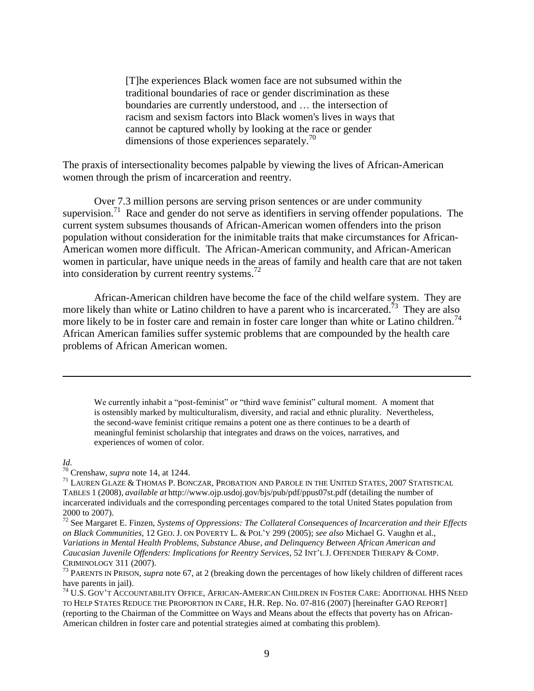[T]he experiences Black women face are not subsumed within the traditional boundaries of race or gender discrimination as these boundaries are currently understood, and … the intersection of racism and sexism factors into Black women's lives in ways that cannot be captured wholly by looking at the race or gender dimensions of those experiences separately.<sup>70</sup>

The praxis of intersectionality becomes palpable by viewing the lives of African-American women through the prism of incarceration and reentry.

Over 7.3 million persons are serving prison sentences or are under community supervision.<sup>71</sup> Race and gender do not serve as identifiers in serving offender populations. The current system subsumes thousands of African-American women offenders into the prison population without consideration for the inimitable traits that make circumstances for African-American women more difficult. The African-American community, and African-American women in particular, have unique needs in the areas of family and health care that are not taken into consideration by current reentry systems.<sup>72</sup>

African-American children have become the face of the child welfare system. They are more likely than white or Latino children to have a parent who is incarcerated.<sup>73</sup> They are also more likely to be in foster care and remain in foster care longer than white or Latino children.<sup>74</sup> African American families suffer systemic problems that are compounded by the health care problems of African American women.

<span id="page-9-0"></span>We currently inhabit a "post-feminist" or "third wave feminist" cultural moment. A moment that is ostensibly marked by multiculturalism, diversity, and racial and ethnic plurality. Nevertheless, the second-wave feminist critique remains a potent one as there continues to be a dearth of meaningful feminist scholarship that integrates and draws on the voices, narratives, and experiences of women of color.

#### *Id.*

 $\overline{a}$ 

<sup>70</sup> Crenshaw, *supra* note [14,](#page-3-0) at 1244.

<sup>71</sup> LAUREN GLAZE & THOMAS P. BONCZAR, PROBATION AND PAROLE IN THE UNITED STATES, 2007 STATISTICAL TABLES 1 (2008), *available at* http://www.ojp.usdoj.gov/bjs/pub/pdf/ppus07st.pdf (detailing the number of incarcerated individuals and the corresponding percentages compared to the total United States population from 2000 to 2007).

<sup>72</sup> See Margaret E. Finzen, *Systems of Oppressions: The Collateral Consequences of Incarceration and their Effects on Black Communities*, 12 GEO. J. ON POVERTY L. & POL'Y 299 (2005); *see also* Michael G. Vaughn et al., *Variations in Mental Health Problems, Substance Abuse, and Delinquency Between African American and Caucasian Juvenile Offenders: Implications for Reentry Services*, 52 INT'L J. OFFENDER THERAPY & COMP. CRIMINOLOGY 311 (2007).

<sup>73</sup> PARENTS IN PRISON, *supra* note [67,](#page-8-1) at 2 (breaking down the percentages of how likely children of different races have parents in *jail*).

<sup>74</sup> U.S. GOV'T ACCOUNTABILITY OFFICE, AFRICAN-AMERICAN CHILDREN IN FOSTER CARE: ADDITIONAL HHS NEED TO HELP STATES REDUCE THE PROPORTION IN CARE, H.R. Rep. No. 07-816 (2007) [hereinafter GAO REPORT] (reporting to the Chairman of the Committee on Ways and Means about the effects that poverty has on African-American children in foster care and potential strategies aimed at combating this problem).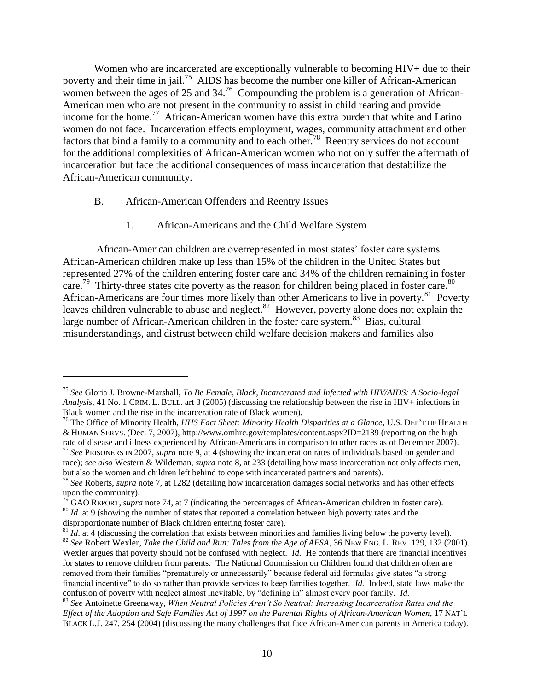Women who are incarcerated are exceptionally vulnerable to becoming HIV+ due to their poverty and their time in jail.<sup>75</sup> AIDS has become the number one killer of African-American women between the ages of 25 and  $34<sup>76</sup>$  Compounding the problem is a generation of African-American men who are not present in the community to assist in child rearing and provide income for the home.<sup>77</sup> African-American women have this extra burden that white and Latino women do not face. Incarceration effects employment, wages, community attachment and other factors that bind a family to a community and to each other.<sup>78</sup> Reentry services do not account for the additional complexities of African-American women who not only suffer the aftermath of incarceration but face the additional consequences of mass incarceration that destabilize the African-American community.

B. African-American Offenders and Reentry Issues

 $\overline{a}$ 

<span id="page-10-0"></span>1. African-Americans and the Child Welfare System

African-American children are overrepresented in most states' foster care systems. African-American children make up less than 15% of the children in the United States but represented 27% of the children entering foster care and 34% of the children remaining in foster care.<sup>79</sup> Thirty-three states cite poverty as the reason for children being placed in foster care.<sup>80</sup> African-Americans are four times more likely than other Americans to live in poverty.<sup>81</sup> Poverty leaves children vulnerable to abuse and neglect.<sup>82</sup> However, poverty alone does not explain the large number of African-American children in the foster care system.<sup>83</sup> Bias, cultural misunderstandings, and distrust between child welfare decision makers and families also

<sup>75</sup> *See* Gloria J. Browne-Marshall, *To Be Female, Black, Incarcerated and Infected with HIV/AIDS: A Socio-legal Analysis,* 41 No. 1 CRIM. L. BULL. art 3 (2005) (discussing the relationship between the rise in HIV+ infections in Black women and the rise in the incarceration rate of Black women).

<sup>76</sup> The Office of Minority Health, *HHS Fact Sheet: Minority Health Disparities at a Glance*, U.S. DEP'T OF HEALTH & HUMAN SERVS. (Dec. 7, 2007), http://www.omhrc.gov/templates/content.aspx?ID=2139 (reporting on the high rate of disease and illness experienced by African-Americans in comparison to other races as of December 2007).

<sup>77</sup> *See* PRISONERS IN 2007, *supra* note [9,](#page-2-1) at 4 (showing the incarceration rates of individuals based on gender and race); *see also* Western & Wildeman, *supra* note [8,](#page-2-0) at 233 (detailing how mass incarceration not only affects men, but also the women and children left behind to cope with incarcerated partners and parents).

<sup>78</sup> *See* Roberts, *supra* note [7,](#page-1-2) at 1282 (detailing how incarceration damages social networks and has other effects upon the community).

<sup>79</sup> GAO REPORT, *supra* note [74,](#page-9-0) at 7 (indicating the percentages of African-American children in foster care). <sup>80</sup> *Id.* at 9 (showing the number of states that reported a correlation between high poverty rates and the disproportionate number of Black children entering foster care).

 $^{81}$  *Id.* at 4 (discussing the correlation that exists between minorities and families living below the poverty level).

<sup>82</sup> *See* Robert Wexler, *Take the Child and Run: Tales from the Age of AFSA*, 36 NEW ENG. L. REV. 129, 132 (2001). Wexler argues that poverty should not be confused with neglect. *Id.* He contends that there are financial incentives for states to remove children from parents. The National Commission on Children found that children often are removed from their families "prematurely or unnecessarily" because federal aid formulas give states "a strong financial incentive" to do so rather than provide services to keep families together. *Id.* Indeed, state laws make the confusion of poverty with neglect almost inevitable, by "defining in" almost every poor family. *Id.*

<sup>83</sup> *See* Antoinette Greenaway, *When Neutral Policies Aren"t So Neutral: Increasing Incarceration Rates and the Effect of the Adoption and Safe Families Act of 1997 on the Parental Rights of African-American Women*, 17 NAT'L BLACK L.J. 247, 254 (2004) (discussing the many challenges that face African-American parents in America today).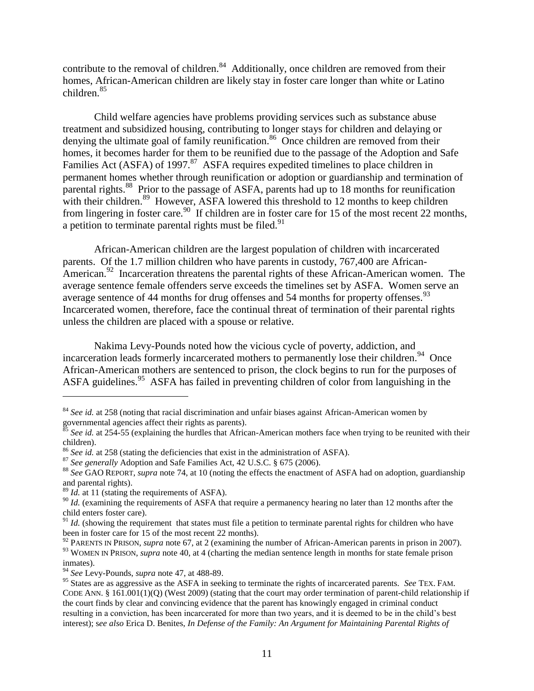contribute to the removal of children.<sup>84</sup> Additionally, once children are removed from their homes, African-American children are likely stay in foster care longer than white or Latino children.<sup>85</sup>

Child welfare agencies have problems providing services such as substance abuse treatment and subsidized housing, contributing to longer stays for children and delaying or denying the ultimate goal of family reunification.<sup>86</sup> Once children are removed from their homes, it becomes harder for them to be reunified due to the passage of the Adoption and Safe Families Act (ASFA) of 1997.<sup>87</sup> ASFA requires expedited timelines to place children in permanent homes whether through reunification or adoption or guardianship and termination of parental rights.<sup>88</sup> Prior to the passage of ASFA, parents had up to 18 months for reunification with their children.<sup>89</sup> However, ASFA lowered this threshold to 12 months to keep children from lingering in foster care.<sup>90</sup> If children are in foster care for 15 of the most recent 22 months, a petition to terminate parental rights must be filed.<sup>91</sup>

African-American children are the largest population of children with incarcerated parents. Of the 1.7 million children who have parents in custody, 767,400 are African-American.<sup>92</sup> Incarceration threatens the parental rights of these African-American women. The average sentence female offenders serve exceeds the timelines set by ASFA. Women serve an average sentence of 44 months for drug offenses and 54 months for property offenses.  $93$ Incarcerated women, therefore, face the continual threat of termination of their parental rights unless the children are placed with a spouse or relative.

Nakima Levy-Pounds noted how the vicious cycle of poverty, addiction, and incarceration leads formerly incarcerated mothers to permanently lose their children.<sup>94</sup> Once African-American mothers are sentenced to prison, the clock begins to run for the purposes of ASFA guidelines.<sup>95</sup> ASFA has failed in preventing children of color from languishing in the

<sup>&</sup>lt;sup>84</sup> *See id.* at 258 (noting that racial discrimination and unfair biases against African-American women by governmental agencies affect their rights as parents).

<sup>&</sup>lt;sup>85</sup> See id. at 254-55 (explaining the hurdles that African-American mothers face when trying to be reunited with their children).

<sup>86</sup> *See id.* at 258 (stating the deficiencies that exist in the administration of ASFA).

<sup>87</sup> *See generally* Adoption and Safe Families Act, 42 U.S.C. § 675 (2006).

<sup>88</sup> *See* GAO REPORT, *supra* note [74,](#page-9-0) at 10 (noting the effects the enactment of ASFA had on adoption, guardianship and parental rights).

<sup>&</sup>lt;sup>89</sup> *Id.* at 11 (stating the requirements of ASFA).

<sup>&</sup>lt;sup>90</sup> *Id.* (examining the requirements of ASFA that require a permanency hearing no later than 12 months after the child enters foster care).

 $91$  *Id.* (showing the requirement that states must file a petition to terminate parental rights for children who have been in foster care for 15 of the most recent 22 months).

<sup>&</sup>lt;sup>92</sup> PARENTS IN PRISON, *supra* not[e 67,](#page-8-1) at 2 (examining the number of African-American parents in prison in 2007). <sup>93</sup> WOMEN IN PRISON, *supra* note [40,](#page-6-1) at 4 (charting the median sentence length in months for state female prison inmates).

<sup>94</sup> *See* Levy-Pounds, *supra* not[e 47,](#page-6-2) at 488-89.

<sup>95</sup> States are as aggressive as the ASFA in seeking to terminate the rights of incarcerated parents. *See* TEX. FAM. CODE ANN. § 161.001(1)(Q) (West 2009) (stating that the court may order termination of parent-child relationship if the court finds by clear and convincing evidence that the parent has knowingly engaged in criminal conduct resulting in a conviction, has been incarcerated for more than two years, and it is deemed to be in the child's best interest); s*ee also* Erica D. Benites, *In Defense of the Family: An Argument for Maintaining Parental Rights of*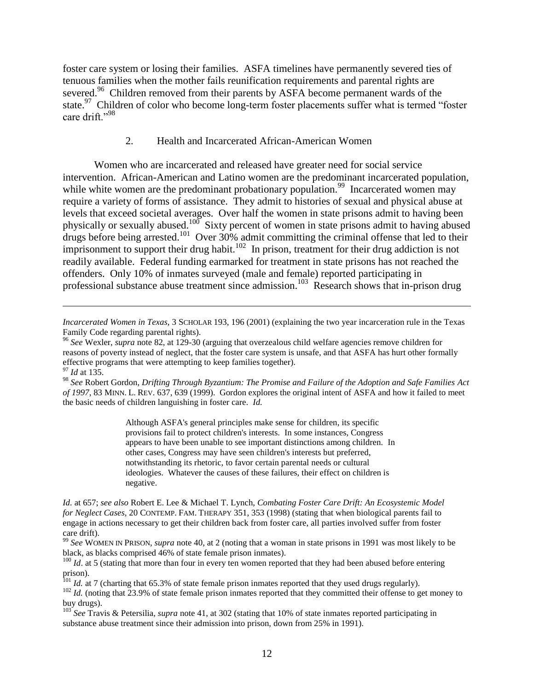foster care system or losing their families. ASFA timelines have permanently severed ties of tenuous families when the mother fails reunification requirements and parental rights are severed.<sup>96</sup> Children removed from their parents by ASFA become permanent wards of the state.<sup>97</sup> Children of color who become long-term foster placements suffer what is termed "foster care drift."<sup>98</sup>

#### 2. Health and Incarcerated African-American Women

Women who are incarcerated and released have greater need for social service intervention. African-American and Latino women are the predominant incarcerated population, while white women are the predominant probationary population.<sup>99</sup> Incarcerated women may require a variety of forms of assistance. They admit to histories of sexual and physical abuse at levels that exceed societal averages. Over half the women in state prisons admit to having been physically or sexually abused.<sup>100</sup> Sixty percent of women in state prisons admit to having abused drugs before being arrested.<sup>101</sup> Over  $30\%$  admit committing the criminal offense that led to their imprisonment to support their drug habit.<sup>102</sup> In prison, treatment for their drug addiction is not readily available. Federal funding earmarked for treatment in state prisons has not reached the offenders. Only 10% of inmates surveyed (male and female) reported participating in professional substance abuse treatment since admission.<sup>103</sup> Research shows that in-prison drug

 $\overline{a}$ 

Although ASFA's general principles make sense for children, its specific provisions fail to protect children's interests. In some instances, Congress appears to have been unable to see important distinctions among children. In other cases, Congress may have seen children's interests but preferred, notwithstanding its rhetoric, to favor certain parental needs or cultural ideologies. Whatever the causes of these failures, their effect on children is negative.

*Incarcerated Women in Texas,* 3 SCHOLAR 193, 196 (2001) (explaining the two year incarceration rule in the Texas Family Code regarding parental rights).

<sup>96</sup> *See* Wexler, *supra* note [82,](#page-10-0) at 129-30 (arguing that overzealous child welfare agencies remove children for reasons of poverty instead of neglect, that the foster care system is unsafe, and that ASFA has hurt other formally effective programs that were attempting to keep families together).

<sup>97</sup> *Id* at 135.

<sup>98</sup> *See* Robert Gordon, *Drifting Through Byzantium: The Promise and Failure of the Adoption and Safe Families Act of 1997*, 83 MINN. L. REV. 637, 639 (1999). Gordon explores the original intent of ASFA and how it failed to meet the basic needs of children languishing in foster care. *Id.*

*Id.* at 657; *see also* Robert E. Lee & Michael T. Lynch, *Combating Foster Care Drift: An Ecosystemic Model for Neglect Cases*, 20 CONTEMP. FAM. THERAPY 351, 353 (1998) (stating that when biological parents fail to engage in actions necessary to get their children back from foster care, all parties involved suffer from foster care drift).

<sup>99</sup> *See* WOMEN IN PRISON, *supra* note [40,](#page-6-1) at 2 (noting that a woman in state prisons in 1991 was most likely to be black, as blacks comprised 46% of state female prison inmates).

<sup>&</sup>lt;sup>100</sup> *Id*. at 5 (stating that more than four in every ten women reported that they had been abused before entering prison).

<sup>&</sup>lt;sup>101</sup> *Id.* at 7 (charting that 65.3% of state female prison inmates reported that they used drugs regularly).

<sup>&</sup>lt;sup>102</sup> *Id.* (noting that 23.9% of state female prison inmates reported that they committed their offense to get money to buy drugs).

<sup>103</sup> *See* Travis & Petersilia, *supra* note [41,](#page-6-0) at 302 (stating that 10% of state inmates reported participating in substance abuse treatment since their admission into prison, down from 25% in 1991).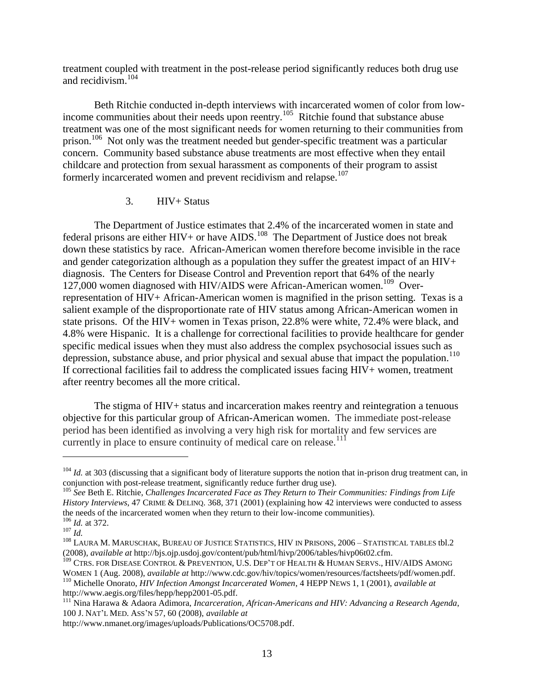treatment coupled with treatment in the post-release period significantly reduces both drug use and recidivism.<sup>104</sup>

Beth Ritchie conducted in-depth interviews with incarcerated women of color from lowincome communities about their needs upon reentry.<sup>105</sup> Ritchie found that substance abuse treatment was one of the most significant needs for women returning to their communities from prison.<sup>106</sup> Not only was the treatment needed but gender-specific treatment was a particular concern. Community based substance abuse treatments are most effective when they entail childcare and protection from sexual harassment as components of their program to assist formerly incarcerated women and prevent recidivism and relapse.<sup>107</sup>

#### 3. HIV+ Status

The Department of Justice estimates that 2.4% of the incarcerated women in state and federal prisons are either  $HIV+$  or have  $AIDS$ .<sup>108</sup> The Department of Justice does not break down these statistics by race. African-American women therefore become invisible in the race and gender categorization although as a population they suffer the greatest impact of an HIV+ diagnosis. The Centers for Disease Control and Prevention report that 64% of the nearly 127,000 women diagnosed with HIV/AIDS were African-American women.<sup>109</sup> Overrepresentation of HIV+ African-American women is magnified in the prison setting. Texas is a salient example of the disproportionate rate of HIV status among African-American women in state prisons. Of the HIV+ women in Texas prison, 22.8% were white, 72.4% were black, and 4.8% were Hispanic. It is a challenge for correctional facilities to provide healthcare for gender specific medical issues when they must also address the complex psychosocial issues such as depression, substance abuse, and prior physical and sexual abuse that impact the population.<sup>110</sup> If correctional facilities fail to address the complicated issues facing HIV+ women, treatment after reentry becomes all the more critical.

The stigma of HIV+ status and incarceration makes reentry and reintegration a tenuous objective for this particular group of African-American women. The immediate post-release period has been identified as involving a very high risk for mortality and few services are currently in place to ensure continuity of medical care on release.<sup>111</sup>

<sup>&</sup>lt;sup>104</sup> *Id.* at 303 (discussing that a significant body of literature supports the notion that in-prison drug treatment can, in conjunction with post-release treatment, significantly reduce further drug use).

<sup>105</sup> *See* Beth E. Ritchie, *Challenges Incarcerated Face as They Return to Their Communities: Findings from Life History Interviews*, 47 CRIME & DELINQ. 368, 371 (2001) (explaining how 42 interviews were conducted to assess the needs of the incarcerated women when they return to their low-income communities). <sup>106</sup> *Id.* at 372.

<sup>107</sup> *Id.*

<sup>108</sup> LAURA M. MARUSCHAK, BUREAU OF JUSTICE STATISTICS, HIV IN PRISONS, 2006 – STATISTICAL TABLES tbl.2 (2008), *available at* http://bjs.ojp.usdoj.gov/content/pub/html/hivp/2006/tables/hivp06t02.cfm.

<sup>&</sup>lt;sup>109</sup> CTRS. FOR DISEASE CONTROL & PREVENTION, U.S. DEP'T OF HEALTH & HUMAN SERVS., HIV/AIDS AMONG WOMEN 1 (Aug. 2008), *available at* http://www.cdc.gov/hiv/topics/women/resources/factsheets/pdf/women.pdf.

<sup>110</sup> Michelle Onorato, *HIV Infection Amongst Incarcerated Women*, 4 HEPP NEWS 1, 1 (2001), *available at* http://www.aegis.org/files/hepp/hepp2001-05.pdf.

<sup>111</sup> Nina Harawa & Adaora Adimora, *Incarceration, African-Americans and HIV: Advancing a Research Agenda*, 100 J. NAT'L MED. ASS'N 57, 60 (2008), *available at*

http://www.nmanet.org/images/uploads/Publications/OC5708.pdf.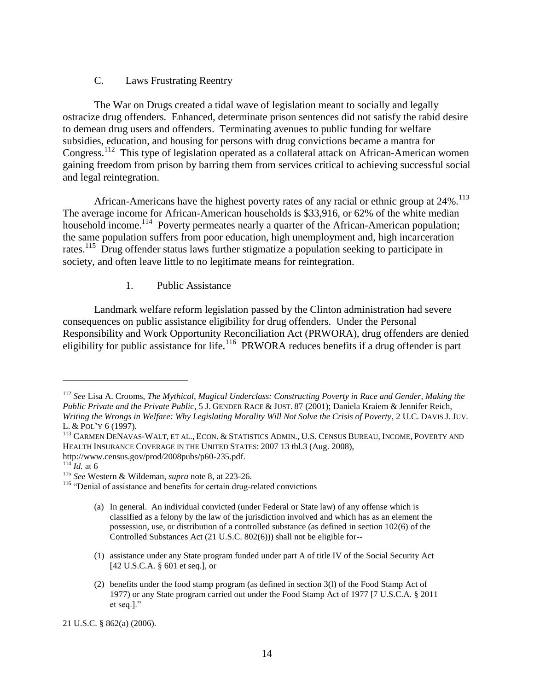#### C. Laws Frustrating Reentry

The War on Drugs created a tidal wave of legislation meant to socially and legally ostracize drug offenders. Enhanced, determinate prison sentences did not satisfy the rabid desire to demean drug users and offenders. Terminating avenues to public funding for welfare subsidies, education, and housing for persons with drug convictions became a mantra for Congress.<sup>112</sup> This type of legislation operated as a collateral attack on African-American women gaining freedom from prison by barring them from services critical to achieving successful social and legal reintegration.

African-Americans have the highest poverty rates of any racial or ethnic group at 24%.<sup>113</sup> The average income for African-American households is \$33,916, or 62% of the white median household income.<sup>114</sup> Poverty permeates nearly a quarter of the African-American population; the same population suffers from poor education, high unemployment and, high incarceration rates.<sup>115</sup> Drug offender status laws further stigmatize a population seeking to participate in society, and often leave little to no legitimate means for reintegration.

#### 1. Public Assistance

Landmark welfare reform legislation passed by the Clinton administration had severe consequences on public assistance eligibility for drug offenders. Under the Personal Responsibility and Work Opportunity Reconciliation Act (PRWORA), drug offenders are denied eligibility for public assistance for life.<sup>116</sup> PRWORA reduces benefits if a drug offender is part

- (a) In general. An individual convicted (under Federal or State law) of any offense which is classified as a felony by the law of the jurisdiction involved and which has as an element the possession, use, or distribution of a controlled substance (as defined in section 102(6) of the Controlled Substances Act (21 U.S.C. 802(6))) shall not be eligible for--
- (1) assistance under any State program funded under part A of title IV of the Social Security Act [42 U.S.C.A. § 601 et seq.], or
- (2) benefits under the food stamp program (as defined in section 3(l) of the Food Stamp Act of 1977) or any State program carried out under the Food Stamp Act of 1977 [7 U.S.C.A. § 2011 et seq.]."

<sup>112</sup> *See* Lisa A. Crooms, *The Mythical, Magical Underclass: Constructing Poverty in Race and Gender, Making the Public Private and the Private Public*, 5 J. GENDER RACE & JUST. 87 (2001); Daniela Kraiem & Jennifer Reich, *Writing the Wrongs in Welfare: Why Legislating Morality Will Not Solve the Crisis of Poverty*, 2 U.C. DAVIS J. JUV. L. & POL'Y 6 (1997).

<sup>113</sup> CARMEN DENAVAS-WALT, ET AL., ECON. & STATISTICS ADMIN., U.S. CENSUS BUREAU, INCOME, POVERTY AND HEALTH INSURANCE COVERAGE IN THE UNITED STATES: 2007 13 tbl.3 (Aug. 2008), http://www.census.gov/prod/2008pubs/p60-235.pdf.

 $\frac{114}{114}$  *Id.* at 6

<sup>115</sup> *See* Western & Wildeman, *supra* note [8,](#page-2-0) at 223-26.

<sup>&</sup>lt;sup>116</sup> "Denial of assistance and benefits for certain drug-related convictions

<sup>21</sup> U.S.C. § 862(a) (2006).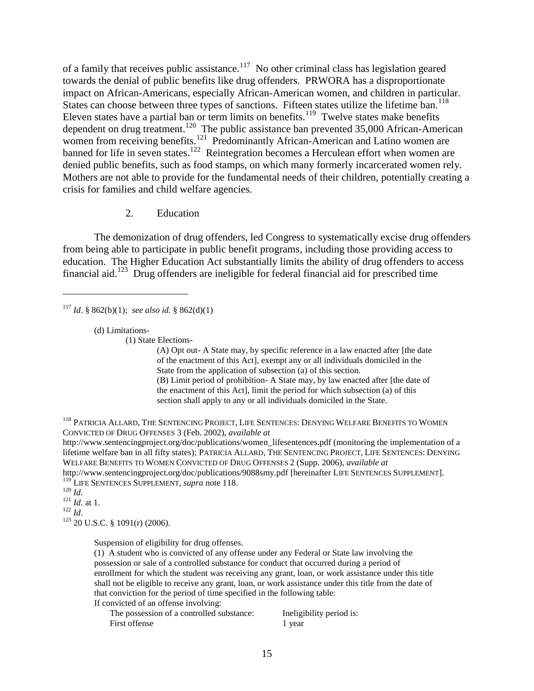of a family that receives public assistance. $117$  No other criminal class has legislation geared towards the denial of public benefits like drug offenders. PRWORA has a disproportionate impact on African-Americans, especially African-American women, and children in particular. States can choose between three types of sanctions. Fifteen states utilize the lifetime ban.<sup>118</sup> Eleven states have a partial ban or term limits on benefits.<sup>119</sup> Twelve states make benefits dependent on drug treatment.<sup>120</sup> The public assistance ban prevented 35,000 African-American women from receiving benefits.<sup>121</sup> Predominantly African-American and Latino women are banned for life in seven states.<sup>122</sup> Reintegration becomes a Herculean effort when women are denied public benefits, such as food stamps, on which many formerly incarcerated women rely. Mothers are not able to provide for the fundamental needs of their children, potentially creating a crisis for families and child welfare agencies.

<span id="page-15-0"></span>2. Education

The demonization of drug offenders, led Congress to systematically excise drug offenders from being able to participate in public benefit programs, including those providing access to education. The Higher Education Act substantially limits the ability of drug offenders to access financial aid.<sup>123</sup> Drug offenders are ineligible for federal financial aid for prescribed time

<sup>117</sup> *Id.* § 862(b)(1); *see also id.* § 862(d)(1)

(d) Limitations-

(1) State Elections-

(A) Opt out- A State may, by specific reference in a law enacted after [the date of the enactment of this Act], exempt any or all individuals domiciled in the State from the application of subsection (a) of this section. (B) Limit period of prohibition- A State may, by law enacted after [the date of

the enactment of this Act], limit the period for which subsection (a) of this section shall apply to any or all individuals domiciled in the State.

<sup>118</sup> PATRICIA ALLARD, THE SENTENCING PROJECT, LIFE SENTENCES: DENYING WELFARE BENEFITS TO WOMEN CONVICTED OF DRUG OFFENSES 3 (Feb. 2002), *available at* 

http://www.sentencingproject.org/doc/publications/women\_lifesentences.pdf (monitoring the implementation of a lifetime welfare ban in all fifty states); PATRICIA ALLARD, THE SENTENCING PROJECT, LIFE SENTENCES: DENYING WELFARE BENEFITS TO WOMEN CONVICTED OF DRUG OFFENSES 2 (Supp. 2006), *available at* 

http://www.sentencingproject.org/doc/publications/9088smy.pdf [hereinafter LIFE SENTENCES SUPPLEMENT]. <sup>119</sup> LIFE SENTENCES SUPPLEMENT, *supra* note [118.](#page-15-0)

 $120 \overline{Id}$ .

 $\overline{a}$ 

<sup>121</sup> *Id*. at 1.  $^{122}$  *Id.* 

 $123$  20 U.S.C. § 1091(r) (2006).

Suspension of eligibility for drug offenses.

(1) A student who is convicted of any offense under any Federal or State law involving the possession or sale of a controlled substance for conduct that occurred during a period of enrollment for which the student was receiving any grant, loan, or work assistance under this title shall not be eligible to receive any grant, loan, or work assistance under this title from the date of that conviction for the period of time specified in the following table: If convicted of an offense involving:

The possession of a controlled substance: Ineligibility period is: First offense 1 year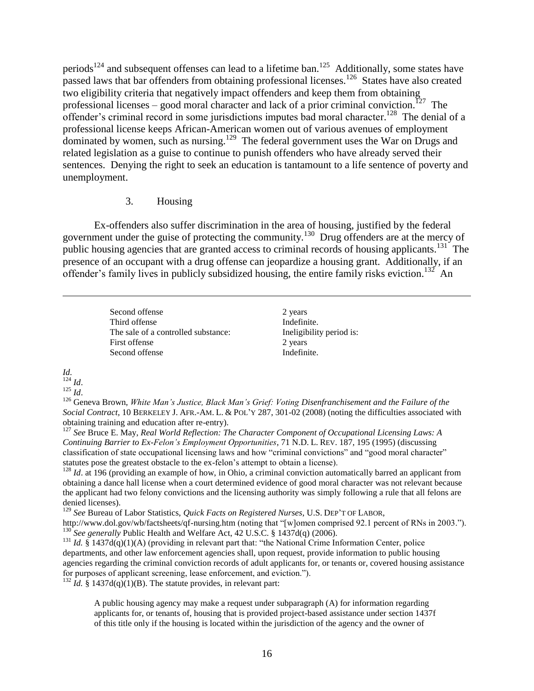periods<sup>124</sup> and subsequent offenses can lead to a lifetime ban.<sup>125</sup> Additionally, some states have passed laws that bar offenders from obtaining professional licenses.<sup>126</sup> States have also created two eligibility criteria that negatively impact offenders and keep them from obtaining professional licenses – good moral character and lack of a prior criminal conviction.<sup>127</sup> The offender's criminal record in some jurisdictions imputes bad moral character.<sup>128</sup> The denial of a professional license keeps African-American women out of various avenues of employment dominated by women, such as nursing.<sup>129</sup> The federal government uses the War on Drugs and related legislation as a guise to continue to punish offenders who have already served their sentences. Denying the right to seek an education is tantamount to a life sentence of poverty and unemployment.

#### 3. Housing

Ex-offenders also suffer discrimination in the area of housing, justified by the federal government under the guise of protecting the community.<sup>130</sup> Drug offenders are at the mercy of public housing agencies that are granted access to criminal records of housing applicants.<sup>131</sup> The presence of an occupant with a drug offense can jeopardize a housing grant. Additionally, if an offender's family lives in publicly subsidized housing, the entire family risks eviction.<sup>132</sup> An

> Second offense 2 years 2 Third offense Indefinite. The sale of a controlled substance: Ineligibility period is: First offense 2 years 2 Second offense Indefinite.

*Id.*

 $\overline{a}$ 

<sup>124</sup> *Id*. <sup>125</sup> *Id*.

<sup>126</sup> Geneva Brown, *White Man"s Justice, Black Man"s Grief: Voting Disenfranchisement and the Failure of the Social Contract,* 10 BERKELEY J. AFR.-AM. L. & POL'Y 287, 301-02 (2008) (noting the difficulties associated with obtaining training and education after re-entry).

<sup>127</sup> *See* Bruce E. May, *Real World Reflection: The Character Component of Occupational Licensing Laws: A Continuing Barrier to Ex-Felon"s Employment Opportunities*, 71 N.D. L. REV. 187, 195 (1995) (discussing classification of state occupational licensing laws and how "criminal convictions" and "good moral character" statutes pose the greatest obstacle to the ex-felon's attempt to obtain a license).

<sup>128</sup> *Id*. at 196 (providing an example of how, in Ohio, a criminal conviction automatically barred an applicant from obtaining a dance hall license when a court determined evidence of good moral character was not relevant because the applicant had two felony convictions and the licensing authority was simply following a rule that all felons are denied licenses).

<sup>129</sup> *See* Bureau of Labor Statistics, *Quick Facts on Registered Nurses*, U.S. DEP'T OF LABOR,

http://www.dol.gov/wb/factsheets/qf-nursing.htm (noting that "[w]omen comprised 92.1 percent of RNs in 2003."). <sup>130</sup> See generally Public Health and Welfare Act, 42 U.S.C. § 1437d(q) (2006).

<sup>131</sup> *Id.* § 1437d(q)(1)(A) (providing in relevant part that: "the National Crime Information Center, police departments, and other law enforcement agencies shall, upon request, provide information to public housing agencies regarding the criminal conviction records of adult applicants for, or tenants or, covered housing assistance for purposes of applicant screening, lease enforcement, and eviction.").

<sup>132</sup> *Id.* § 1437d(q)(1)(B). The statute provides, in relevant part:

A public housing agency may make a request under subparagraph (A) for information regarding applicants for, or tenants of, housing that is provided project-based assistance under section 1437f of this title only if the housing is located within the jurisdiction of the agency and the owner of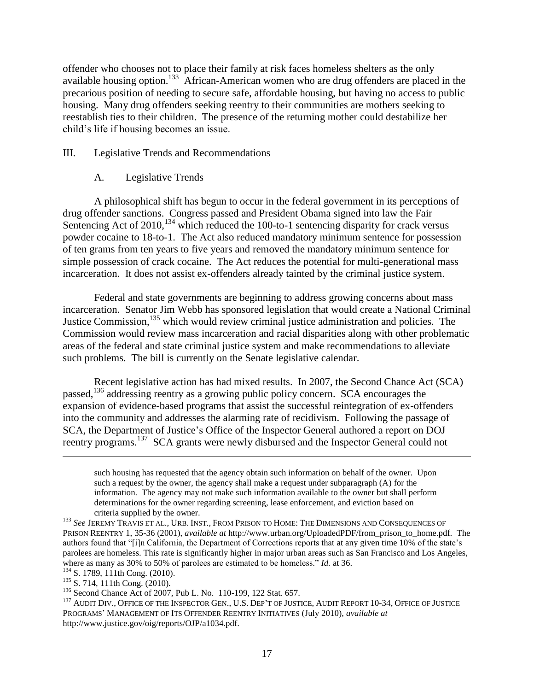offender who chooses not to place their family at risk faces homeless shelters as the only available housing option.<sup>133</sup> African-American women who are drug offenders are placed in the precarious position of needing to secure safe, affordable housing, but having no access to public housing. Many drug offenders seeking reentry to their communities are mothers seeking to reestablish ties to their children. The presence of the returning mother could destabilize her child's life if housing becomes an issue.

#### III. Legislative Trends and Recommendations

### A. Legislative Trends

A philosophical shift has begun to occur in the federal government in its perceptions of drug offender sanctions. Congress passed and President Obama signed into law the Fair Sentencing Act of 2010,<sup>134</sup> which reduced the 100-to-1 sentencing disparity for crack versus powder cocaine to 18-to-1. The Act also reduced mandatory minimum sentence for possession of ten grams from ten years to five years and removed the mandatory minimum sentence for simple possession of crack cocaine. The Act reduces the potential for multi-generational mass incarceration. It does not assist ex-offenders already tainted by the criminal justice system.

Federal and state governments are beginning to address growing concerns about mass incarceration. Senator Jim Webb has sponsored legislation that would create a National Criminal Justice Commission,<sup>135</sup> which would review criminal justice administration and policies. The Commission would review mass incarceration and racial disparities along with other problematic areas of the federal and state criminal justice system and make recommendations to alleviate such problems. The bill is currently on the Senate legislative calendar.

Recent legislative action has had mixed results. In 2007, the Second Chance Act (SCA) passed,<sup>136</sup> addressing reentry as a growing public policy concern. SCA encourages the expansion of evidence-based programs that assist the successful reintegration of ex-offenders into the community and addresses the alarming rate of recidivism. Following the passage of SCA, the Department of Justice's Office of the Inspector General authored a report on DOJ reentry programs.<sup>137</sup> SCA grants were newly disbursed and the Inspector General could not

such housing has requested that the agency obtain such information on behalf of the owner. Upon such a request by the owner, the agency shall make a request under subparagraph (A) for the information. The agency may not make such information available to the owner but shall perform determinations for the owner regarding screening, lease enforcement, and eviction based on criteria supplied by the owner.

<sup>133</sup> *See* JEREMY TRAVIS ET AL., URB. INST., FROM PRISON TO HOME: THE DIMENSIONS AND CONSEQUENCES OF PRISON REENTRY 1, 35-36 (2001), *available at* http://www.urban.org/UploadedPDF/from\_prison\_to\_home.pdf. The authors found that "[i]n California, the Department of Corrections reports that at any given time 10% of the state's parolees are homeless. This rate is significantly higher in major urban areas such as San Francisco and Los Angeles, where as many as 30% to 50% of parolees are estimated to be homeless." *Id.* at 36.

<sup>&</sup>lt;sup>134</sup> S. 1789, 111th Cong. (2010).

<sup>135</sup> S. 714, 111th Cong. (2010).

<sup>136</sup> Second Chance Act of 2007, Pub L. No. 110-199, 122 Stat. 657.

<sup>&</sup>lt;sup>137</sup> AUDIT DIV., OFFICE OF THE INSPECTOR GEN., U.S. DEP'T OF JUSTICE, AUDIT REPORT 10-34, OFFICE OF JUSTICE PROGRAMS' MANAGEMENT OF ITS OFFENDER REENTRY INITIATIVES (July 2010), *available at*  http://www.justice.gov/oig/reports/OJP/a1034.pdf.